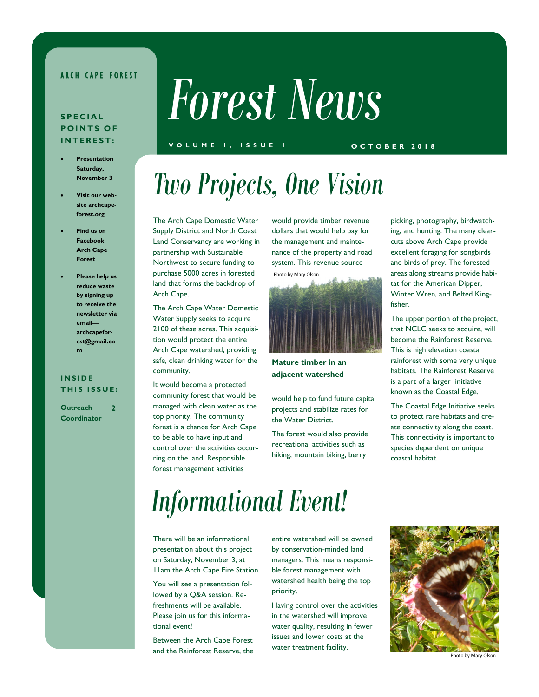## **ARCH CAPE FOREST**

# **S P E C I A L POINTS OF I N T E R E S T :**

- **Presentation Saturday, November 3**
- **Visit our website archcapeforest.org**
- **Find us on Facebook Arch Cape Forest**
- **Please help us reduce waste by signing up to receive the newsletter via email archcapeforest@gmail.co m**

#### **I N S I D E THIS ISSUE:**

**Outreach Coordinator 2**

# *Forest News*

### **V O L U M E 1 , I S S U E 1 O C T O B E R 2 0 1 8**

# *Two Projects, One Vision*

The Arch Cape Domestic Water Supply District and North Coast Land Conservancy are working in partnership with Sustainable Northwest to secure funding to purchase 5000 acres in forested land that forms the backdrop of Arch Cape.

The Arch Cape Water Domestic Water Supply seeks to acquire 2100 of these acres. This acquisition would protect the entire Arch Cape watershed, providing safe, clean drinking water for the community.

It would become a protected community forest that would be managed with clean water as the top priority. The community forest is a chance for Arch Cape to be able to have input and control over the activities occurring on the land. Responsible forest management activities

would provide timber revenue dollars that would help pay for the management and maintenance of the property and road system. This revenue source Photo by Mary Olson



**Mature timber in an adjacent watershed**

would help to fund future capital projects and stabilize rates for the Water District.

The forest would also provide recreational activities such as hiking, mountain biking, berry

picking, photography, birdwatching, and hunting. The many clearcuts above Arch Cape provide excellent foraging for songbirds and birds of prey. The forested areas along streams provide habitat for the American Dipper, Winter Wren, and Belted Kingfisher.

The upper portion of the project, that NCLC seeks to acquire, will become the Rainforest Reserve. This is high elevation coastal rainforest with some very unique habitats. The Rainforest Reserve is a part of a larger initiative known as the Coastal Edge.

The Coastal Edge Initiative seeks to protect rare habitats and create connectivity along the coast. This connectivity is important to species dependent on unique coastal habitat.

# *Informational Event!*

There will be an informational presentation about this project on Saturday, November 3, at 11am the Arch Cape Fire Station.

You will see a presentation followed by a Q&A session. Refreshments will be available. Please join us for this informational event!

Between the Arch Cape Forest and the Rainforest Reserve, the

entire watershed will be owned by conservation-minded land managers. This means responsible forest management with watershed health being the top priority.

Having control over the activities in the watershed will improve water quality, resulting in fewer issues and lower costs at the water treatment facility.



Photo by Mary Olson